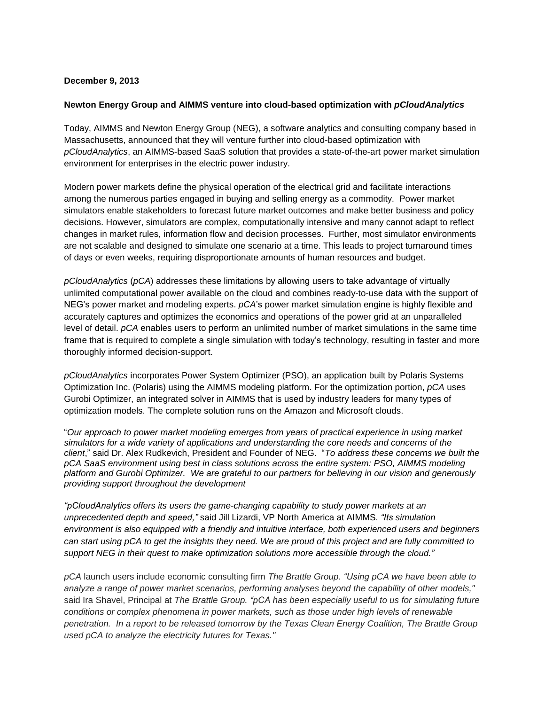## **December 9, 2013**

## **Newton Energy Group and AIMMS venture into cloud-based optimization with** *pCloudAnalytics*

Today, AIMMS and Newton Energy Group (NEG), a software analytics and consulting company based in Massachusetts, announced that they will venture further into cloud-based optimization with *pCloudAnalytics*, an AIMMS-based SaaS solution that provides a state-of-the-art power market simulation environment for enterprises in the electric power industry.

Modern power markets define the physical operation of the electrical grid and facilitate interactions among the numerous parties engaged in buying and selling energy as a commodity. Power market simulators enable stakeholders to forecast future market outcomes and make better business and policy decisions. However, simulators are complex, computationally intensive and many cannot adapt to reflect changes in market rules, information flow and decision processes. Further, most simulator environments are not scalable and designed to simulate one scenario at a time. This leads to project turnaround times of days or even weeks, requiring disproportionate amounts of human resources and budget.

*pCloudAnalytics* (*pCA*) addresses these limitations by allowing users to take advantage of virtually unlimited computational power available on the cloud and combines ready-to-use data with the support of NEG's power market and modeling experts. *pCA*'s power market simulation engine is highly flexible and accurately captures and optimizes the economics and operations of the power grid at an unparalleled level of detail. *pCA* enables users to perform an unlimited number of market simulations in the same time frame that is required to complete a single simulation with today's technology, resulting in faster and more thoroughly informed decision-support.

*pCloudAnalytics* incorporates Power System Optimizer (PSO), an application built by Polaris Systems Optimization Inc. (Polaris) using the AIMMS modeling platform. For the optimization portion, *pCA* uses Gurobi Optimizer, an integrated solver in AIMMS that is used by industry leaders for many types of optimization models. The complete solution runs on the Amazon and Microsoft clouds.

"*Our approach to power market modeling emerges from years of practical experience in using market simulators for a wide variety of applications and understanding the core needs and concerns of the client*," said Dr. Alex Rudkevich, President and Founder of NEG. "*To address these concerns we built the pCA SaaS environment using best in class solutions across the entire system: PSO, AIMMS modeling platform and Gurobi Optimizer. We are grateful to our partners for believing in our vision and generously providing support throughout the development* 

*"pCloudAnalytics offers its users the game-changing capability to study power markets at an unprecedented depth and speed,"* said Jill Lizardi, VP North America at AIMMS. *"Its simulation environment is also equipped with a friendly and intuitive interface, both experienced users and beginners* can start using pCA to get the insights they need. We are proud of this project and are fully committed to *support NEG in their quest to make optimization solutions more accessible through the cloud."*

*pCA* launch users include economic consulting firm *The Brattle Group. "Using pCA we have been able to analyze a range of power market scenarios, performing analyses beyond the capability of other models,"* said Ira Shavel, Principal at *The Brattle Group. "pCA has been especially useful to us for simulating future conditions or complex phenomena in power markets, such as those under high levels of renewable penetration. In a report to be released tomorrow by the Texas Clean Energy Coalition, The Brattle Group used pCA to analyze the electricity futures for Texas."*